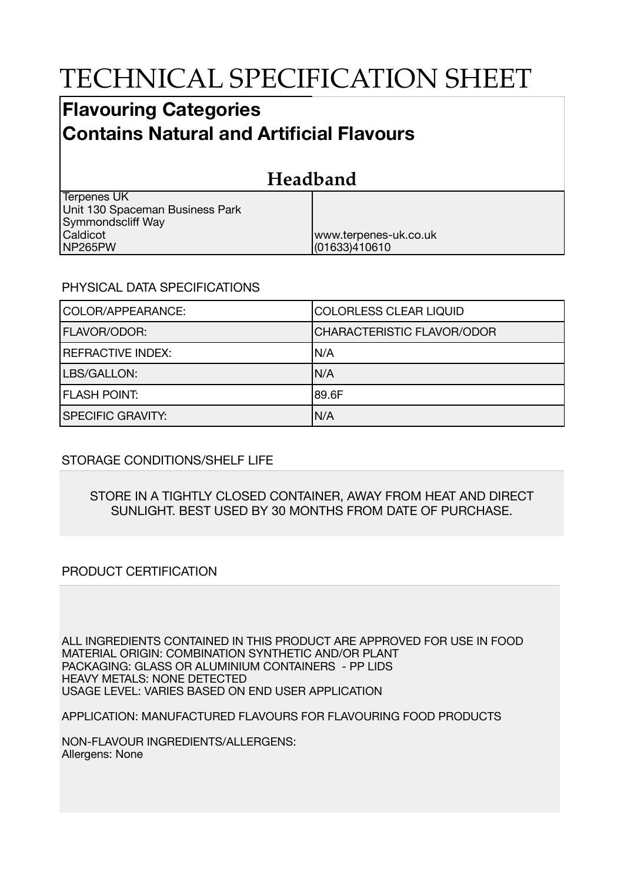# TECHNICAL SPECIFICATION SHEET

## **Flavouring Categories Contains Natural and Artificial Flavours**

| Headband                        |                       |  |
|---------------------------------|-----------------------|--|
| Terpenes UK                     |                       |  |
| Unit 130 Spaceman Business Park |                       |  |
| Symmondscliff Way               |                       |  |
| Caldicot                        | www.terpenes-uk.co.uk |  |
| NP265PW                         | (01633)410610         |  |

### PHYSICAL DATA SPECIFICATIONS

| COLOR/APPEARANCE:        | COLORLESS CLEAR LIQUID     |
|--------------------------|----------------------------|
| <b>FLAVOR/ODOR:</b>      | CHARACTERISTIC FLAVOR/ODOR |
| <b>REFRACTIVE INDEX:</b> | IN/A                       |
| LBS/GALLON:              | IN/A                       |
| <b>FLASH POINT:</b>      | 189.6F                     |
| <b>SPECIFIC GRAVITY:</b> | N/A                        |

### STORAGE CONDITIONS/SHELF LIFE

#### STORE IN A TIGHTLY CLOSED CONTAINER, AWAY FROM HEAT AND DIRECT SUNLIGHT. BEST USED BY 30 MONTHS FROM DATE OF PURCHASE.

### PRODUCT CERTIFICATION

ALL INGREDIENTS CONTAINED IN THIS PRODUCT ARE APPROVED FOR USE IN FOOD MATERIAL ORIGIN: COMBINATION SYNTHETIC AND/OR PLANT PACKAGING: GLASS OR ALUMINIUM CONTAINERS - PP LIDS HEAVY METALS: NONE DETECTED USAGE LEVEL: VARIES BASED ON END USER APPLICATION

APPLICATION: MANUFACTURED FLAVOURS FOR FLAVOURING FOOD PRODUCTS

NON-FLAVOUR INGREDIENTS/ALLERGENS: Allergens: None